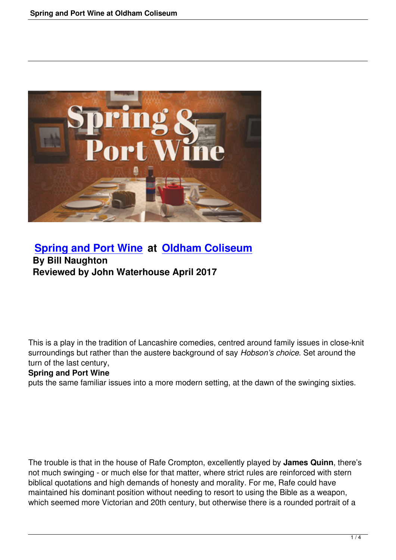

# **Spring and Port Wine at Oldham Coliseum By Bill Naughton [Reviewed by John Waterh](spring-and-port-wine.html)ou[se April 2017](http://www.coliseum.org.uk/)**

This is a play in the tradition of Lancashire comedies, centred around family issues in close-knit surroundings but rather than the austere background of say *Hobson's choice*. Set around the turn of the last century,

### **Spring and Port Wine**

puts the same familiar issues into a more modern setting, at the dawn of the swinging sixties.

The trouble is that in the house of Rafe Crompton, excellently played by **James Quinn**, there's not much swinging - or much else for that matter, where strict rules are reinforced with stern biblical quotations and high demands of honesty and morality. For me, Rafe could have maintained his dominant position without needing to resort to using the Bible as a weapon, which seemed more Victorian and 20th century, but otherwise there is a rounded portrait of a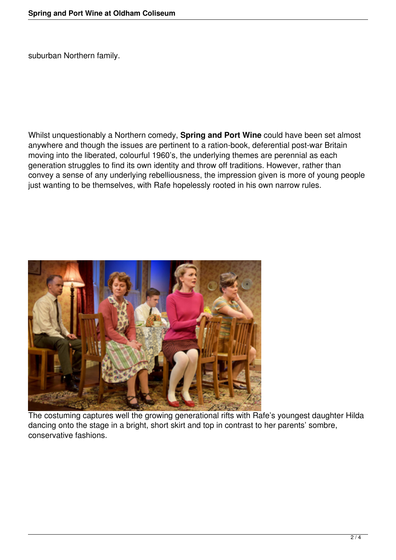suburban Northern family.

Whilst unquestionably a Northern comedy, **Spring and Port Wine** could have been set almost anywhere and though the issues are pertinent to a ration-book, deferential post-war Britain moving into the liberated, colourful 1960's, the underlying themes are perennial as each generation struggles to find its own identity and throw off traditions. However, rather than convey a sense of any underlying rebelliousness, the impression given is more of young people just wanting to be themselves, with Rafe hopelessly rooted in his own narrow rules.



The costuming captures well the growing generational rifts with Rafe's youngest daughter Hilda dancing onto the stage in a bright, short skirt and top in contrast to her parents' sombre, conservative fashions.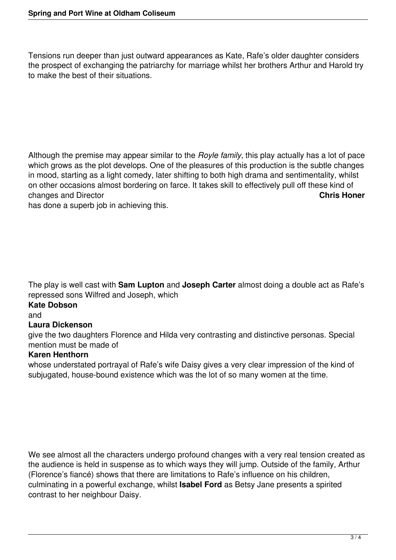Tensions run deeper than just outward appearances as Kate, Rafe's older daughter considers the prospect of exchanging the patriarchy for marriage whilst her brothers Arthur and Harold try to make the best of their situations.

Although the premise may appear similar to the *Royle family*, this play actually has a lot of pace which grows as the plot develops. One of the pleasures of this production is the subtle changes in mood, starting as a light comedy, later shifting to both high drama and sentimentality, whilst on other occasions almost bordering on farce. It takes skill to effectively pull off these kind of changes and Director **Chris Honer**

has done a superb job in achieving this.

The play is well cast with **Sam Lupton** and **Joseph Carter** almost doing a double act as Rafe's repressed sons Wilfred and Joseph, which

## **Kate Dobson**

and

### **Laura Dickenson**

give the two daughters Florence and Hilda very contrasting and distinctive personas. Special mention must be made of

### **Karen Henthorn**

whose understated portrayal of Rafe's wife Daisy gives a very clear impression of the kind of subjugated, house-bound existence which was the lot of so many women at the time.

We see almost all the characters undergo profound changes with a very real tension created as the audience is held in suspense as to which ways they will jump. Outside of the family, Arthur (Florence's fiancé) shows that there are limitations to Rafe's influence on his children, culminating in a powerful exchange, whilst **Isabel Ford** as Betsy Jane presents a spirited contrast to her neighbour Daisy.